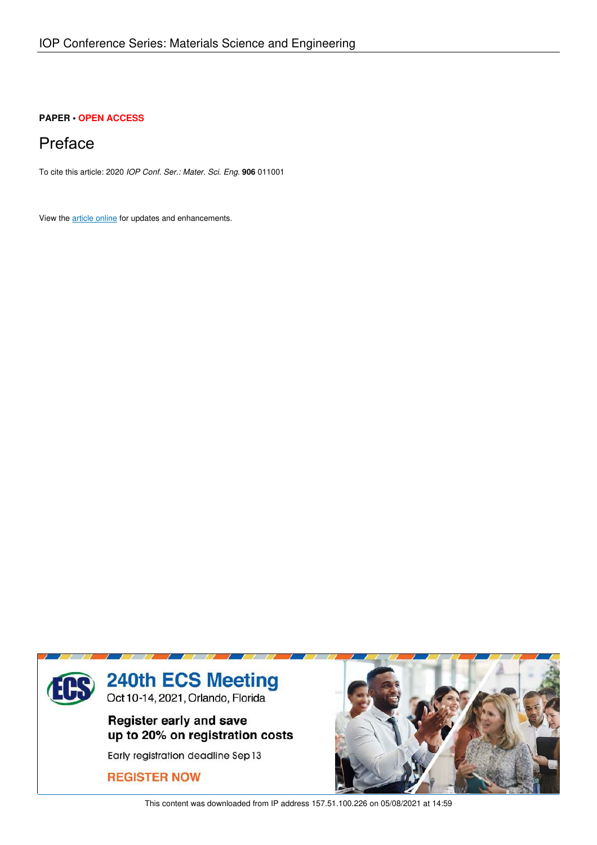## **PAPER • OPEN ACCESS**

## Preface

To cite this article: 2020 *IOP Conf. Ser.: Mater. Sci. Eng.* **906** 011001

View the article online for updates and enhancements.



This content was downloaded from IP address 157.51.100.226 on 05/08/2021 at 14:59